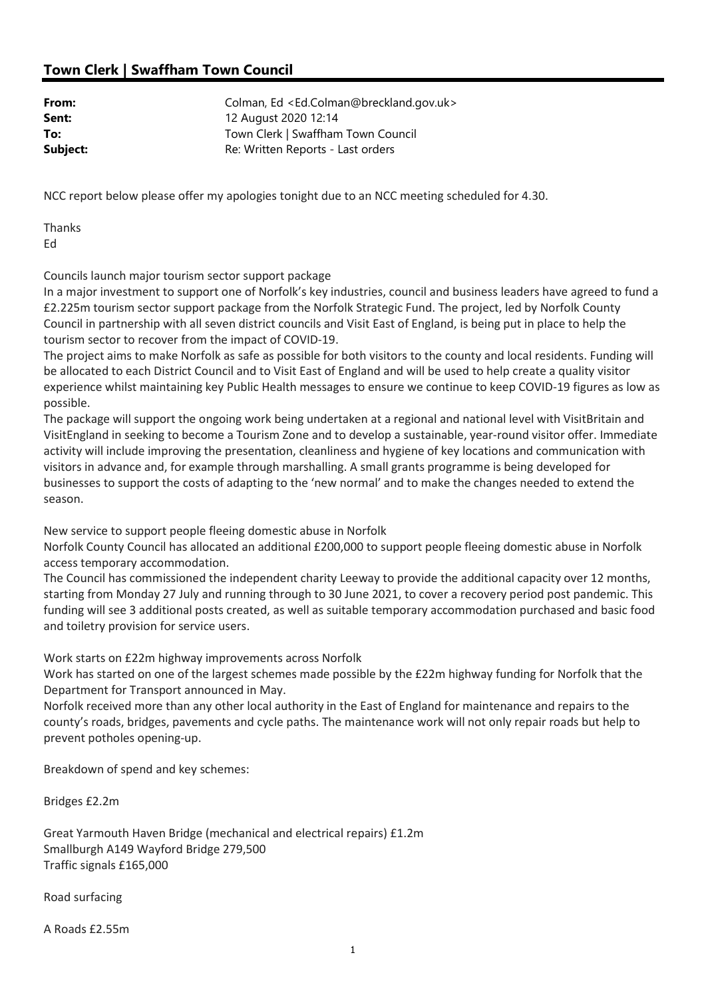## Town Clerk | Swaffham Town Council

| From:    | Colman, Ed <ed.colman@breckland.gov.uk></ed.colman@breckland.gov.uk> |
|----------|----------------------------------------------------------------------|
| Sent:    | 12 August 2020 12:14                                                 |
| To:      | Town Clerk   Swaffham Town Council                                   |
| Subject: | Re: Written Reports - Last orders                                    |

NCC report below please offer my apologies tonight due to an NCC meeting scheduled for 4.30.

Thanks Ed

Councils launch major tourism sector support package

In a major investment to support one of Norfolk's key industries, council and business leaders have agreed to fund a £2.225m tourism sector support package from the Norfolk Strategic Fund. The project, led by Norfolk County Council in partnership with all seven district councils and Visit East of England, is being put in place to help the tourism sector to recover from the impact of COVID-19.

The project aims to make Norfolk as safe as possible for both visitors to the county and local residents. Funding will be allocated to each District Council and to Visit East of England and will be used to help create a quality visitor experience whilst maintaining key Public Health messages to ensure we continue to keep COVID-19 figures as low as possible.

The package will support the ongoing work being undertaken at a regional and national level with VisitBritain and VisitEngland in seeking to become a Tourism Zone and to develop a sustainable, year-round visitor offer. Immediate activity will include improving the presentation, cleanliness and hygiene of key locations and communication with visitors in advance and, for example through marshalling. A small grants programme is being developed for businesses to support the costs of adapting to the 'new normal' and to make the changes needed to extend the season.

New service to support people fleeing domestic abuse in Norfolk

Norfolk County Council has allocated an additional £200,000 to support people fleeing domestic abuse in Norfolk access temporary accommodation.

The Council has commissioned the independent charity Leeway to provide the additional capacity over 12 months, starting from Monday 27 July and running through to 30 June 2021, to cover a recovery period post pandemic. This funding will see 3 additional posts created, as well as suitable temporary accommodation purchased and basic food and toiletry provision for service users.

Work starts on £22m highway improvements across Norfolk

Work has started on one of the largest schemes made possible by the £22m highway funding for Norfolk that the Department for Transport announced in May.

Norfolk received more than any other local authority in the East of England for maintenance and repairs to the county's roads, bridges, pavements and cycle paths. The maintenance work will not only repair roads but help to prevent potholes opening-up.

Breakdown of spend and key schemes:

Bridges £2.2m

Great Yarmouth Haven Bridge (mechanical and electrical repairs) £1.2m Smallburgh A149 Wayford Bridge 279,500 Traffic signals £165,000

Road surfacing

A Roads £2.55m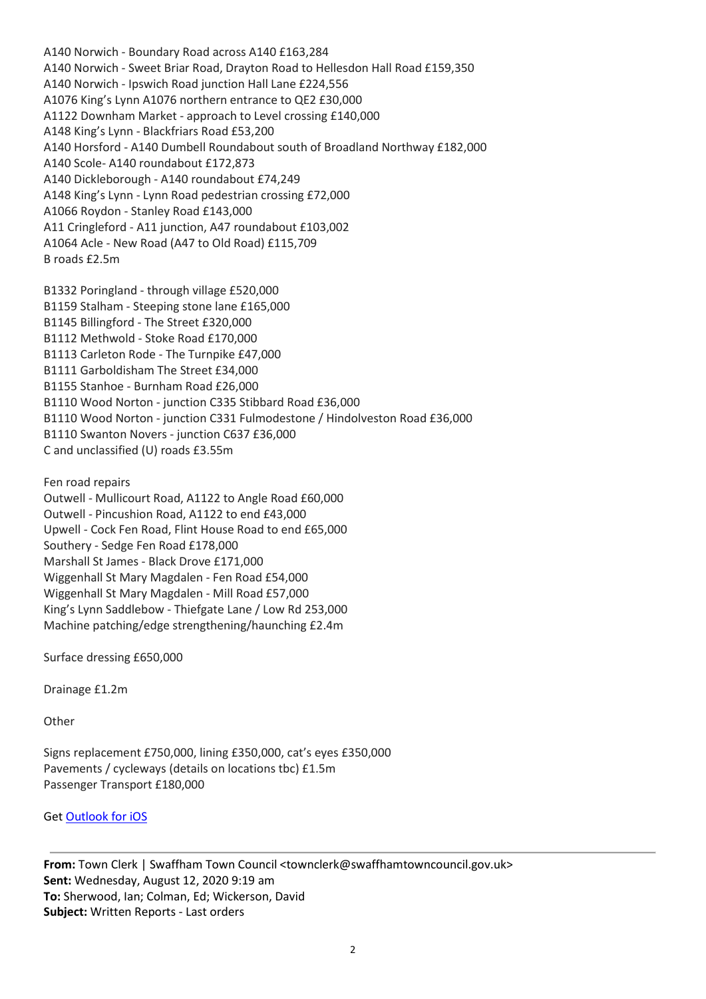A140 Norwich - Boundary Road across A140 £163,284 A140 Norwich - Sweet Briar Road, Drayton Road to Hellesdon Hall Road £159,350 A140 Norwich - Ipswich Road junction Hall Lane £224,556 A1076 King's Lynn A1076 northern entrance to QE2 £30,000 A1122 Downham Market - approach to Level crossing £140,000 A148 King's Lynn - Blackfriars Road £53,200 A140 Horsford - A140 Dumbell Roundabout south of Broadland Northway £182,000 A140 Scole- A140 roundabout £172,873 A140 Dickleborough - A140 roundabout £74,249 A148 King's Lynn - Lynn Road pedestrian crossing £72,000 A1066 Roydon - Stanley Road £143,000 A11 Cringleford - A11 junction, A47 roundabout £103,002 A1064 Acle - New Road (A47 to Old Road) £115,709 B roads £2.5m

B1332 Poringland - through village £520,000 B1159 Stalham - Steeping stone lane £165,000 B1145 Billingford - The Street £320,000 B1112 Methwold - Stoke Road £170,000 B1113 Carleton Rode - The Turnpike £47,000 B1111 Garboldisham The Street £34,000 B1155 Stanhoe - Burnham Road £26,000 B1110 Wood Norton - junction C335 Stibbard Road £36,000 B1110 Wood Norton - junction C331 Fulmodestone / Hindolveston Road £36,000 B1110 Swanton Novers - junction C637 £36,000 C and unclassified (U) roads £3.55m

Fen road repairs

Outwell - Mullicourt Road, A1122 to Angle Road £60,000 Outwell - Pincushion Road, A1122 to end £43,000 Upwell - Cock Fen Road, Flint House Road to end £65,000 Southery - Sedge Fen Road £178,000 Marshall St James - Black Drove £171,000 Wiggenhall St Mary Magdalen - Fen Road £54,000 Wiggenhall St Mary Magdalen - Mill Road £57,000 King's Lynn Saddlebow - Thiefgate Lane / Low Rd 253,000 Machine patching/edge strengthening/haunching £2.4m

Surface dressing £650,000

Drainage £1.2m

**Other** 

Signs replacement £750,000, lining £350,000, cat's eyes £350,000 Pavements / cycleways (details on locations tbc) £1.5m Passenger Transport £180,000

Get Outlook for iOS

From: Town Clerk | Swaffham Town Council <townclerk@swaffhamtowncouncil.gov.uk> Sent: Wednesday, August 12, 2020 9:19 am To: Sherwood, Ian; Colman, Ed; Wickerson, David Subject: Written Reports - Last orders